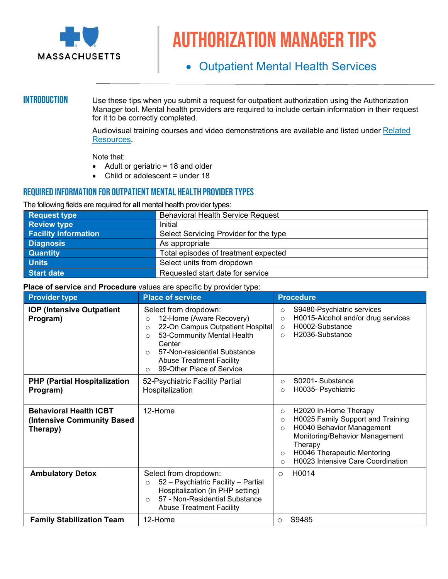

# Authorization manager tips

# • Outpatient Mental Health Services

**INTRODUCTION** Use these tips when you submit a request for outpatient authorization using the Authorization Manager tool. Mental health providers are required to include certain information in their request for it to be correctly completed.

> Audiovisual training courses and video demonstrations are available and listed under [Related](#page-0-0)  [Resources.](#page-0-0)

Note that:

- Adult or geriatric = 18 and older
- Child or adolescent = under 18

### REQUIRED INFORMATION FOR OUTPATIENT MENTAL HEALTH PROVIDER TYPES

The following fields are required for **all** mental health provider types:

| <b>Request type</b>         | <b>Behavioral Health Service Request</b> |
|-----------------------------|------------------------------------------|
| <b>Review type</b>          | Initial                                  |
| <b>Facility information</b> | Select Servicing Provider for the type   |
| <b>Diagnosis</b>            | As appropriate                           |
| <b>Quantity</b>             | Total episodes of treatment expected     |
| <b>Units</b>                | Select units from dropdown               |
| Start date                  | Requested start date for service         |

#### **Place of service** and **Procedure** values are specific by provider type:

<span id="page-0-0"></span>

| <b>Provider type</b>                                                    | <b>Place of service</b>                                                                                                                                                                                                                                                               | <b>Procedure</b>                                                                                                                                                                                                                                                |
|-------------------------------------------------------------------------|---------------------------------------------------------------------------------------------------------------------------------------------------------------------------------------------------------------------------------------------------------------------------------------|-----------------------------------------------------------------------------------------------------------------------------------------------------------------------------------------------------------------------------------------------------------------|
| <b>IOP (Intensive Outpatient</b><br>Program)                            | Select from dropdown:<br>12-Home (Aware Recovery)<br>$\circ$<br>22-On Campus Outpatient Hospital<br>$\circ$<br>53-Community Mental Health<br>$\circ$<br>Center<br>57-Non-residential Substance<br>$\circ$<br><b>Abuse Treatment Facility</b><br>99-Other Place of Service<br>$\Omega$ | S9480-Psychiatric services<br>$\circ$<br>H0015-Alcohol and/or drug services<br>$\Omega$<br>H0002-Substance<br>$\circ$<br>H <sub>2036</sub> -Substance<br>$\circ$                                                                                                |
| <b>PHP (Partial Hospitalization)</b><br>Program)                        | 52-Psychiatric Facility Partial<br>Hospitalization                                                                                                                                                                                                                                    | S0201-Substance<br>$\circ$<br>H0035- Psychiatric<br>$\circ$                                                                                                                                                                                                     |
| <b>Behavioral Health ICBT</b><br>(Intensive Community Based<br>Therapy) | 12-Home                                                                                                                                                                                                                                                                               | H2020 In-Home Therapy<br>$\circ$<br>H0025 Family Support and Training<br>$\circ$<br>H0040 Behavior Management<br>$\circ$<br>Monitoring/Behavior Management<br>Therapy<br>H0046 Therapeutic Mentoring<br>$\circ$<br>H0023 Intensive Care Coordination<br>$\circ$ |
| <b>Ambulatory Detox</b>                                                 | Select from dropdown:<br>52 - Psychiatric Facility - Partial<br>$\circ$<br>Hospitalization (in PHP setting)<br>57 - Non-Residential Substance<br>$\Omega$<br><b>Abuse Treatment Facility</b>                                                                                          | H0014<br>$\circ$                                                                                                                                                                                                                                                |
| <b>Family Stabilization Team</b>                                        | 12-Home                                                                                                                                                                                                                                                                               | S9485<br>O                                                                                                                                                                                                                                                      |